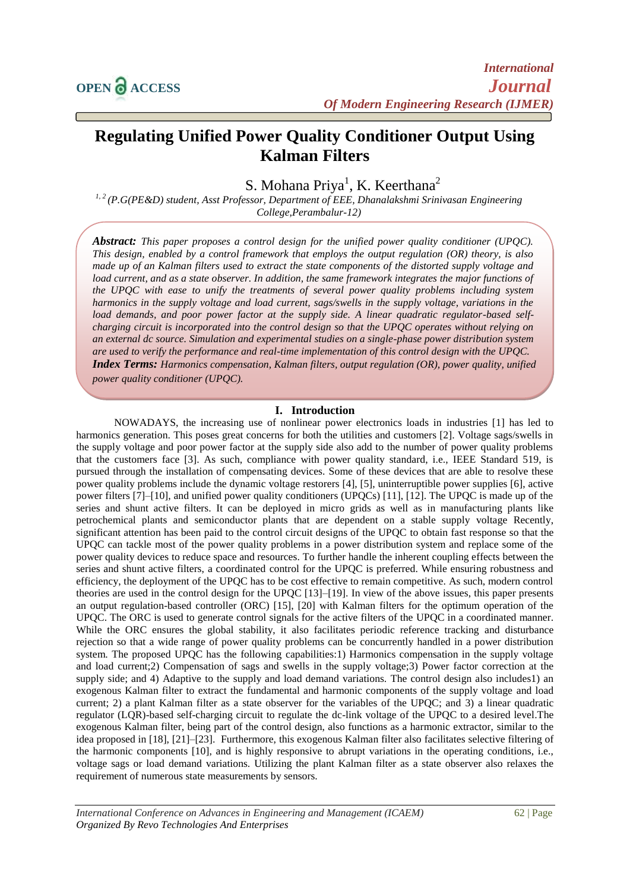# **Regulating Unified Power Quality Conditioner Output Using Kalman Filters**

S. Mohana Priya<sup>1</sup>, K. Keerthana<sup>2</sup>

*1, 2 (P.G(PE&D) student, Asst Professor, Department of EEE, Dhanalakshmi Srinivasan Engineering College,Perambalur-12)*

*Abstract: This paper proposes a control design for the unified power quality conditioner (UPQC). This design, enabled by a control framework that employs the output regulation (OR) theory, is also made up of an Kalman filters used to extract the state components of the distorted supply voltage and load current, and as a state observer. In addition, the same framework integrates the major functions of the UPQC with ease to unify the treatments of several power quality problems including system harmonics in the supply voltage and load current, sags/swells in the supply voltage, variations in the load demands, and poor power factor at the supply side. A linear quadratic regulator-based selfcharging circuit is incorporated into the control design so that the UPQC operates without relying on an external dc source. Simulation and experimental studies on a single-phase power distribution system are used to verify the performance and real-time implementation of this control design with the UPQC. Index Terms: Harmonics compensation, Kalman filters, output regulation (OR), power quality, unified power quality conditioner (UPQC).*

## **I. Introduction**

NOWADAYS, the increasing use of nonlinear power electronics loads in industries [1] has led to harmonics generation. This poses great concerns for both the utilities and customers [2]. Voltage sags/swells in the supply voltage and poor power factor at the supply side also add to the number of power quality problems that the customers face [3]. As such, compliance with power quality standard, i.e., IEEE Standard 519, is pursued through the installation of compensating devices. Some of these devices that are able to resolve these power quality problems include the dynamic voltage restorers [4], [5], uninterruptible power supplies [6], active power filters [7]–[10], and unified power quality conditioners (UPQCs) [11], [12]. The UPQC is made up of the series and shunt active filters. It can be deployed in micro grids as well as in manufacturing plants like petrochemical plants and semiconductor plants that are dependent on a stable supply voltage Recently, significant attention has been paid to the control circuit designs of the UPQC to obtain fast response so that the UPQC can tackle most of the power quality problems in a power distribution system and replace some of the power quality devices to reduce space and resources. To further handle the inherent coupling effects between the series and shunt active filters, a coordinated control for the UPQC is preferred. While ensuring robustness and efficiency, the deployment of the UPQC has to be cost effective to remain competitive. As such, modern control theories are used in the control design for the UPQC [13]–[19]. In view of the above issues, this paper presents an output regulation-based controller (ORC) [15], [20] with Kalman filters for the optimum operation of the UPQC. The ORC is used to generate control signals for the active filters of the UPQC in a coordinated manner. While the ORC ensures the global stability, it also facilitates periodic reference tracking and disturbance rejection so that a wide range of power quality problems can be concurrently handled in a power distribution system. The proposed UPQC has the following capabilities:1) Harmonics compensation in the supply voltage and load current;2) Compensation of sags and swells in the supply voltage;3) Power factor correction at the supply side; and 4) Adaptive to the supply and load demand variations. The control design also includes1) an exogenous Kalman filter to extract the fundamental and harmonic components of the supply voltage and load current; 2) a plant Kalman filter as a state observer for the variables of the UPQC; and 3) a linear quadratic regulator (LQR)-based self-charging circuit to regulate the dc-link voltage of the UPQC to a desired level.The exogenous Kalman filter, being part of the control design, also functions as a harmonic extractor, similar to the idea proposed in [18], [21]–[23]. Furthermore, this exogenous Kalman filter also facilitates selective filtering of the harmonic components [10], and is highly responsive to abrupt variations in the operating conditions, i.e., voltage sags or load demand variations. Utilizing the plant Kalman filter as a state observer also relaxes the requirement of numerous state measurements by sensors.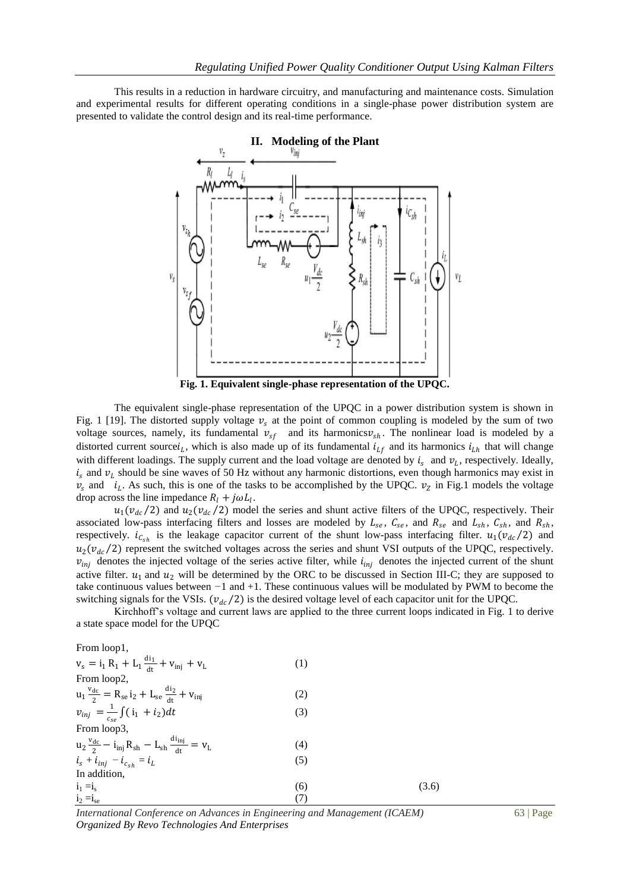This results in a reduction in hardware circuitry, and manufacturing and maintenance costs. Simulation and experimental results for different operating conditions in a single-phase power distribution system are presented to validate the control design and its real-time performance.



The equivalent single-phase representation of the UPQC in a power distribution system is shown in Fig. 1 [19]. The distorted supply voltage  $v_s$  at the point of common coupling is modeled by the sum of two voltage sources, namely, its fundamental  $v_{sf}$  and its harmonics $v_{sh}$ . The nonlinear load is modeled by a distorted current source $i_L$ , which is also made up of its fundamental  $i_L f$  and its harmonics  $i_L h$  that will change with different loadings. The supply current and the load voltage are denoted by  $i_s$  and  $v_L$ , respectively. Ideally,  $i_s$  and  $v_l$  should be sine waves of 50 Hz without any harmonic distortions, even though harmonics may exist in  $v_s$  and  $i_L$ . As such, this is one of the tasks to be accomplished by the UPQC.  $v_z$  in Fig.1 models the voltage drop across the line impedance  $R_l + j\omega L_l$ .

 $u_1(v_{dc}/2)$  and  $u_2(v_{dc}/2)$  model the series and shunt active filters of the UPQC, respectively. Their associated low-pass interfacing filters and losses are modeled by  $L_{se}$ ,  $C_{se}$ , and  $R_{se}$  and  $L_{sh}$ ,  $C_{sh}$ , and  $R_{sh}$ , respectively.  $i_{c_{sh}}$  is the leakage capacitor current of the shunt low-pass interfacing filter.  $u_1(v_{dc}/2)$  and  $u_2(v_{dc}/2)$  represent the switched voltages across the series and shunt VSI outputs of the UPQC, respectively.  $v_{ini}$  denotes the injected voltage of the series active filter, while  $i_{ini}$  denotes the injected current of the shunt active filter.  $u_1$  and  $u_2$  will be determined by the ORC to be discussed in Section III-C; they are supposed to take continuous values between *−*1 and +1. These continuous values will be modulated by PWM to become the switching signals for the VSIs. ( $v_{dc}/2$ ) is the desired voltage level of each capacitor unit for the UPQC.

Kirchhoff's voltage and current laws are applied to the three current loops indicated in Fig. 1 to derive a state space model for the UPQC

From loop1,

| (1) |       |
|-----|-------|
|     |       |
| (2) |       |
| (3) |       |
|     |       |
| (4) |       |
| (5) |       |
|     |       |
| (6) | (3.6) |
| (7) |       |
|     |       |

*International Conference on Advances in Engineering and Management (ICAEM)* 63 | Page *Organized By Revo Technologies And Enterprises*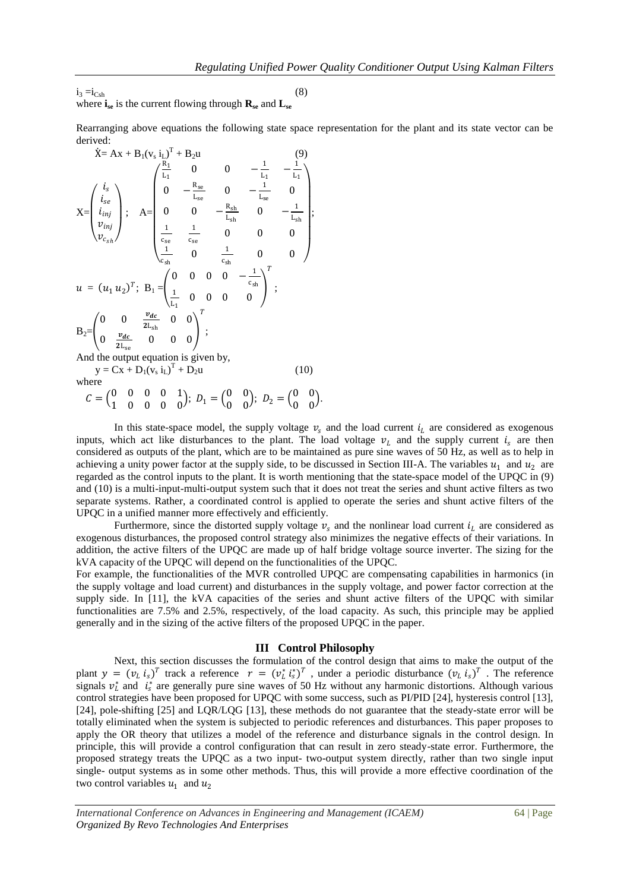$i_3 = i_{\text{Csh}}$  (8) where  $\mathbf{i}_{\text{se}}$  is the current flowing through  $\mathbf{R}_{\text{se}}$  and  $\mathbf{L}_{\text{se}}$ 

Rearranging above equations the following state space representation for the plant and its state vector can be derived:

$$
\dot{X} = Ax + B_1(v_s \, i_L)^T + B_2 u
$$
\n
$$
X = \begin{pmatrix} i_s \\ i_{se} \\ i_{inj} \\ v_{inj} \end{pmatrix}; \quad A = \begin{pmatrix} \frac{R_1}{L_1} & 0 & 0 & -\frac{1}{L_1} & -\frac{1}{L_1} \\ 0 & -\frac{R_{se}}{L_{se}} & 0 & -\frac{1}{L_{se}} & 0 \\ 0 & 0 & -\frac{R_{sh}}{L_{sh}} & 0 & -\frac{1}{L_{sh}} \\ \frac{1}{c_{se}} & \frac{1}{c_{se}} & 0 & 0 & 0 \\ \frac{1}{c_{sh}} & 0 & \frac{1}{c_{sh}} & 0 & 0 \end{pmatrix};
$$
\n
$$
u = (u_1 u_2)^T; \quad B_1 = \begin{pmatrix} 0 & 0 & 0 & 0 & -\frac{1}{c_{sh}} \\ \frac{1}{L_1} & 0 & 0 & 0 & 0 \\ \frac{1}{L_1} & 0 & 0 & 0 & 0 \end{pmatrix}^T;
$$
\n
$$
B_2 = \begin{pmatrix} 0 & 0 & \frac{v_{dc}}{2L_{sh}} & 0 & 0 \\ 0 & \frac{v_{dc}}{2L_{se}} & 0 & 0 & 0 \end{pmatrix}^T;
$$
\nAnd the output equation is given by,  
\n
$$
y = Cx + D_1(v_s \, i_L)^T + D_2 u
$$
\n(10)

where

 $C = \begin{pmatrix} 0 & 0 & 0 & 0 & 1 \\ 1 & 0 & 0 & 0 & 0 \\ 0 & 0 & 0 & 0 & 0 \\ 0 & 0 & 0 & 0 & 0 & 0 \\ 0 & 0 & 0 & 0 & 0 & 0 \\ 0 & 0 & 0 & 0 & 0 & 0 \\ 0 & 0 & 0 & 0 & 0 & 0 \\ 0 & 0 & 0 & 0 & 0 & 0 \\ 0 & 0 & 0 & 0 & 0 & 0 \\ 0 & 0 & 0 & 0 & 0 & 0 & 0 \\ 0 & 0 & 0 & 0 & 0 & 0 & 0 \\ 0 & 0 & 0 & 0 & 0 & 0$  $\begin{pmatrix} 0 & 0 & 0 & 0 & 1 \\ 1 & 0 & 0 & 0 & 0 \end{pmatrix}; D_1 = \begin{pmatrix} 0 & 0 & 0 \\ 0 & 0 & 0 & 0 \end{pmatrix}$  $\begin{pmatrix} 0 & 0 \\ 0 & 0 \end{pmatrix}$ ;  $D_2 = \begin{pmatrix} 0 & 0 \\ 0 & 0 \end{pmatrix}$  $\begin{matrix} 0 & 0 \\ 0 & 0 \end{matrix}$ .

In this state-space model, the supply voltage  $v_s$  and the load current  $i_l$  are considered as exogenous inputs, which act like disturbances to the plant. The load voltage  $v_l$  and the supply current  $i_s$  are then considered as outputs of the plant, which are to be maintained as pure sine waves of 50 Hz, as well as to help in achieving a unity power factor at the supply side, to be discussed in Section III-A. The variables  $u_1$  and  $u_2$  are regarded as the control inputs to the plant. It is worth mentioning that the state-space model of the UPQC in (9) and (10) is a multi-input-multi-output system such that it does not treat the series and shunt active filters as two separate systems. Rather, a coordinated control is applied to operate the series and shunt active filters of the UPQC in a unified manner more effectively and efficiently.

Furthermore, since the distorted supply voltage  $v_s$  and the nonlinear load current  $i_l$  are considered as exogenous disturbances, the proposed control strategy also minimizes the negative effects of their variations. In addition, the active filters of the UPQC are made up of half bridge voltage source inverter. The sizing for the kVA capacity of the UPQC will depend on the functionalities of the UPQC.

For example, the functionalities of the MVR controlled UPQC are compensating capabilities in harmonics (in the supply voltage and load current) and disturbances in the supply voltage, and power factor correction at the supply side. In [11], the kVA capacities of the series and shunt active filters of the UPQC with similar functionalities are 7.5% and 2.5%, respectively, of the load capacity. As such, this principle may be applied generally and in the sizing of the active filters of the proposed UPQC in the paper.

#### **III Control Philosophy**

Next, this section discusses the formulation of the control design that aims to make the output of the plant  $y = (v_L i_S)^T$  track a reference  $r = (v_L^* i_S^*)^T$ , under a periodic disturbance  $(v_L i_S)^T$ . The reference signals  $v_L^*$  and  $i_s^*$  are generally pure sine waves of 50 Hz without any harmonic distortions. Although various control strategies have been proposed for UPQC with some success, such as PI/PID [24], hysteresis control [13], [24], pole-shifting [25] and LQR/LQG [13], these methods do not guarantee that the steady-state error will be totally eliminated when the system is subjected to periodic references and disturbances. This paper proposes to apply the OR theory that utilizes a model of the reference and disturbance signals in the control design. In principle, this will provide a control configuration that can result in zero steady-state error. Furthermore, the proposed strategy treats the UPQC as a two input- two-output system directly, rather than two single input single- output systems as in some other methods. Thus, this will provide a more effective coordination of the two control variables  $u_1$  and  $u_2$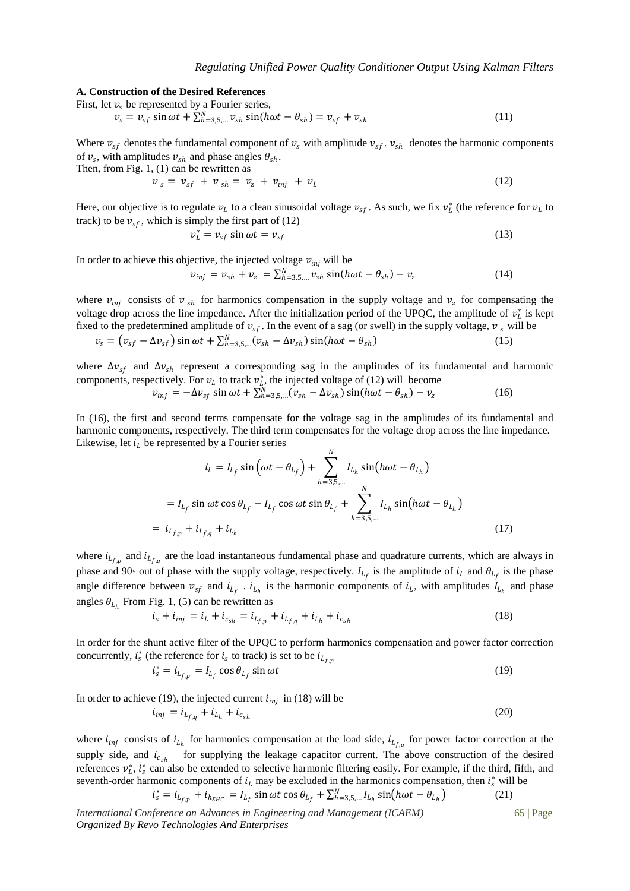#### **A. Construction of the Desired References**

First, let  $v_s$  be represented by a Fourier series,

 $v_s = v_{sf} \sin \omega t + \sum_{h=3,5,...}^{N} v_{sh} \sin(h \omega t - \theta_{sh}) = v_{sf} + v_{sh}$ (11)

Where  $v_{sf}$  denotes the fundamental component of  $v_s$  with amplitude  $v_{sf}$ .  $v_{sh}$  denotes the harmonic components of  $v_s$ , with amplitudes  $v_{sh}$  and phase angles  $\theta_{sh}$ .

Then, from Fig. 
$$
1
$$
,  $(1)$  can be rewritten as

$$
\nu_s = \nu_{sf} + \nu_{sh} = \nu_z + \nu_{inj} + \nu_L \tag{12}
$$

Here, our objective is to regulate  $v_L$  to a clean sinusoidal voltage  $v_{sf}$ . As such, we fix  $v_L^*$  (the reference for  $v_L$  to track) to be  $v_{sf}$ , which is simply the first part of (12)

$$
v_L^* = v_{sf} \sin \omega t = v_{sf} \tag{13}
$$

In order to achieve this objective, the injected voltage  $v_{inj}$  will be

$$
v_{inj} = v_{sh} + v_z = \sum_{h=3,5,...}^{N} v_{sh} \sin(h\omega t - \theta_{sh}) - v_z
$$
 (14)

where  $v_{inj}$  consists of  $v_{sh}$  for harmonics compensation in the supply voltage and  $v_z$  for compensating the voltage drop across the line impedance. After the initialization period of the UPQC, the amplitude of  $v_l^*$  is kept fixed to the predetermined amplitude of  $v_{sf}$ . In the event of a sag (or swell) in the supply voltage,  $v_s$  will be

$$
v_s = (v_{sf} - \Delta v_{sf}) \sin \omega t + \sum_{h=3,5,...}^{N} (v_{sh} - \Delta v_{sh}) \sin(h \omega t - \theta_{sh})
$$
\n(15)

where  $\Delta v_{sf}$  and  $\Delta v_{sh}$  represent a corresponding sag in the amplitudes of its fundamental and harmonic components, respectively. For  $v_l$  to track  $v_l^*$ , the injected voltage of (12) will become

$$
v_{inj} = -\Delta v_{sf} \sin \omega t + \sum_{h=3,5,...}^{N} (v_{sh} - \Delta v_{sh}) \sin(h \omega t - \theta_{sh}) - v_z \tag{16}
$$

In (16), the first and second terms compensate for the voltage sag in the amplitudes of its fundamental and harmonic components, respectively. The third term compensates for the voltage drop across the line impedance. Likewise, let  $i_l$  be represented by a Fourier series  $\overline{M}$ 

$$
i_{L} = I_{L_{f}} \sin \left(\omega t - \theta_{L_{f}}\right) + \sum_{h=3,5,...}^{N} I_{L_{h}} \sin(h\omega t - \theta_{L_{h}})
$$
  
=  $I_{L_{f}} \sin \omega t \cos \theta_{L_{f}} - I_{L_{f}} \cos \omega t \sin \theta_{L_{f}} + \sum_{h=3,5,...}^{N} I_{L_{h}} \sin(h\omega t - \theta_{L_{h}})$   
=  $i_{L_{f,p}} + i_{L_{f,q}} + i_{L_{h}}$  (17)

where  $i_{L_{f,p}}$  and  $i_{L_{f,q}}$  are the load instantaneous fundamental phase and quadrature currents, which are always in phase and 90<sup>°</sup> out of phase with the supply voltage, respectively.  $I_{L_f}$  is the amplitude of  $i_L$  and  $\theta_{L_f}$  is the phase angle difference between  $v_{sf}$  and  $i_{L_f}$ .  $i_{L_h}$  is the harmonic components of  $i_L$ , with amplitudes  $I_{L_h}$  and phase angles  $\theta_{L_h}$  From Fig. 1, (5) can be rewritten as

$$
i_s + i_{inj} = i_L + i_{c_{sh}} = i_{L_{f,p}} + i_{L_{f,q}} + i_{L_h} + i_{c_{sh}}
$$
\n(18)

In order for the shunt active filter of the UPQC to perform harmonics compensation and power factor correction concurrently,  $i_s^*$  (the reference for  $i_s$  to track) is set to be  $i_{L_{f,p}}$ 

$$
i_s^* = i_{L_{f,p}} = I_{L_f} \cos \theta_{L_f} \sin \omega t \tag{19}
$$

In order to achieve (19), the injected current  $i_{inj}$  in (18) will be

$$
i_{inj} = i_{L_{f,q}} + i_{L_h} + i_{c_{sh}}
$$
\n(20)

where  $i_{inj}$  consists of  $i_{L_h}$  for harmonics compensation at the load side,  $i_{L_{f,q}}$  for power factor correction at the supply side, and  $i_{c_{sh}}$  for supplying the leakage capacitor current. The above construction of the desired references  $v_t^*$ ,  $i_s^*$  can also be extended to selective harmonic filtering easily. For example, if the third, fifth, and seventh-order harmonic components of  $i_l$  may be excluded in the harmonics compensation, then  $i_s^*$  will be  $i_s^* = i_{L_{f,p}} + i_{h_{SHC}} = I_{L_f} \sin \omega t \cos \theta_{L_f} + \sum_{h=3,5,...}^{N} I_{L_h} \sin(h \omega t - \theta_{L_h})$  $(21)$ 

*International Conference on Advances in Engineering and Management (ICAEM)* 65 | Page *Organized By Revo Technologies And Enterprises*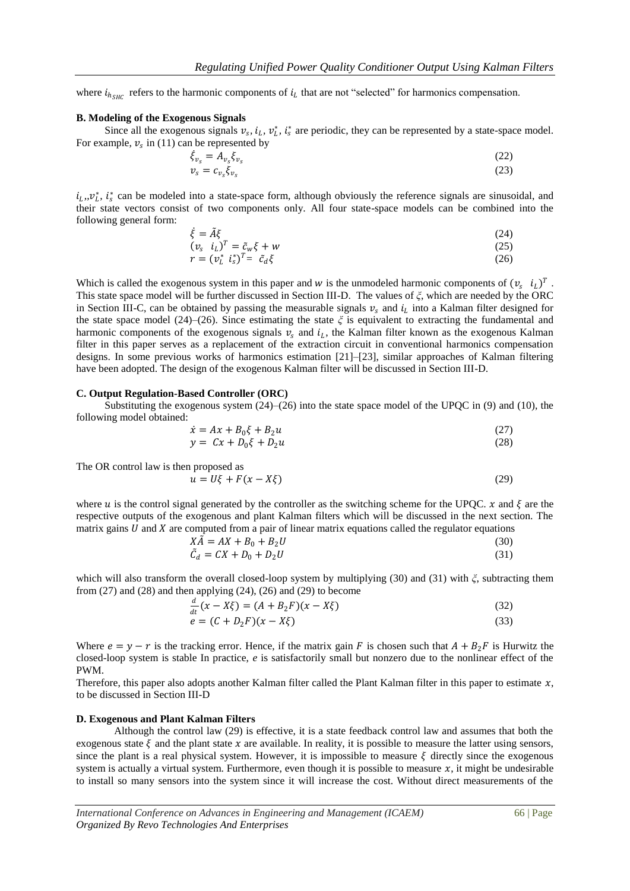where  $i_{h_{SHC}}$  refers to the harmonic components of  $i_L$  that are not "selected" for harmonics compensation.

#### **B. Modeling of the Exogenous Signals**

Since all the exogenous signals  $v_s$ ,  $i_l$ ,  $v_l^*$ ,  $i_s^*$  are periodic, they can be represented by a state-space model. For example,  $v_s$  in (11) can be represented by

$$
\dot{\xi}_{v_s} = A_{v_s} \xi_{v_s}
$$
\n(22)  
\n
$$
v_s = c_{v_s} \xi_{v_s}
$$
\n(23)

 $i_L, v_L^*$ ,  $i_s^*$  can be modeled into a state-space form, although obviously the reference signals are sinusoidal, and their state vectors consist of two components only. All four state-space models can be combined into the following general form:

$$
\dot{\xi} = \tilde{A}\xi \tag{24}
$$

$$
(\nu_s \quad i_L)^T = \tilde{c}_w \xi + w \tag{25}
$$

$$
r = (v_L^* \ \dot{i}_s^*)^T = \ \tilde{c}_d \xi \tag{26}
$$

Which is called the exogenous system in this paper and w is the unmodeled harmonic components of  $(v_s \, i_L)^T$ . This state space model will be further discussed in Section III-D. The values of *ξ*, which are needed by the ORC in Section III-C, can be obtained by passing the measurable signals  $v_s$  and  $i_l$  into a Kalman filter designed for the state space model (24)–(26). Since estimating the state *ξ* is equivalent to extracting the fundamental and harmonic components of the exogenous signals  $v_s$  and  $i_l$ , the Kalman filter known as the exogenous Kalman filter in this paper serves as a replacement of the extraction circuit in conventional harmonics compensation designs. In some previous works of harmonics estimation [21]–[23], similar approaches of Kalman filtering have been adopted. The design of the exogenous Kalman filter will be discussed in Section III-D.

#### **C. Output Regulation-Based Controller (ORC)**

Substituting the exogenous system  $(24)$ – $(26)$  into the state space model of the UPQC in (9) and (10), the following model obtained:

$$
\dot{x} = Ax + B_0\xi + B_2u\tag{27}
$$

$$
y = Cx + D_0\xi + D_2u \tag{28}
$$

The OR control law is then proposed as

$$
u = U\xi + F(x - X\xi) \tag{29}
$$

where u is the control signal generated by the controller as the switching scheme for the UPQC.  $x$  and  $\xi$  are the respective outputs of the exogenous and plant Kalman filters which will be discussed in the next section. The matrix gains  $U$  and  $X$  are computed from a pair of linear matrix equations called the regulator equations

$$
X\tilde{A} = AX + B_0 + B_2U\tag{30}
$$

$$
\tilde{C}_d = CX + D_0 + D_2 U \tag{31}
$$

which will also transform the overall closed-loop system by multiplying (30) and (31) with *ξ*, subtracting them from (27) and (28) and then applying (24), (26) and (29) to become

$$
\frac{d}{dt}(x - X\xi) = (A + B_2F)(x - X\xi)
$$
\n(32)  
\n
$$
e = (C + D_2F)(x - X\xi)
$$
\n(33)

Where  $e = y - r$  is the tracking error. Hence, if the matrix gain F is chosen such that  $A + B_2F$  is Hurwitz the closed-loop system is stable In practice, *e* is satisfactorily small but nonzero due to the nonlinear effect of the PWM.

Therefore, this paper also adopts another Kalman filter called the Plant Kalman filter in this paper to estimate  $x$ , to be discussed in Section III-D

#### **D. Exogenous and Plant Kalman Filters**

Although the control law (29) is effective, it is a state feedback control law and assumes that both the exogenous state  $\xi$  and the plant state x are available. In reality, it is possible to measure the latter using sensors, since the plant is a real physical system. However, it is impossible to measure  $\xi$  directly since the exogenous system is actually a virtual system. Furthermore, even though it is possible to measure  $x$ , it might be undesirable to install so many sensors into the system since it will increase the cost. Without direct measurements of the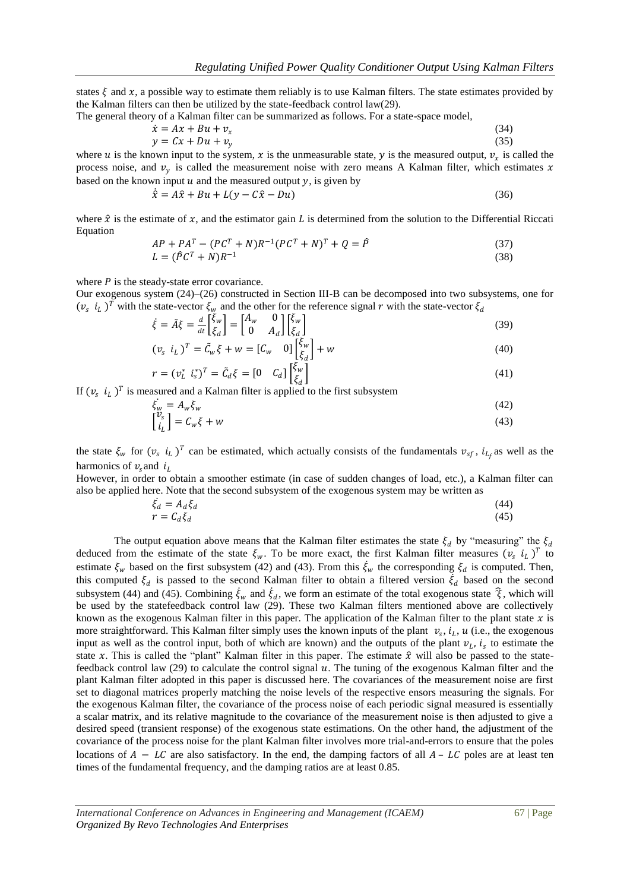states  $\xi$  and x, a possible way to estimate them reliably is to use Kalman filters. The state estimates provided by the Kalman filters can then be utilized by the state-feedback control law(29).

The general theory of a Kalman filter can be summarized as follows. For a state-space model,

$$
\begin{aligned}\n\dot{x} &= Ax + Bu + v_x\n\\
y &= Cx + Du + v_y\n\end{aligned} \tag{34}
$$

where u is the known input to the system, x is the unmeasurable state, y is the measured output,  $v_x$  is called the process noise, and  $v_y$  is called the measurement noise with zero means A Kalman filter, which estimates x based on the known input  $u$  and the measured output  $v$ , is given by

$$
\dot{\hat{\zeta}} = A\hat{x} + Bu + L(y - C\hat{x} - Du) \tag{36}
$$

where  $\hat{x}$  is the estimate of x, and the estimator gain L is determined from the solution to the Differential Riccati Equation

$$
AP + PAT - (PCT + N)R-1(PCT + N)T + Q = \hat{P}
$$
\n(37)

$$
L = (\hat{P}C^T + N)R^{-1}
$$
\n<sup>(38)</sup>

where  $P$  is the steady-state error covariance.

 $\cdot$ 

Our exogenous system (24)–(26) constructed in Section III-B can be decomposed into two subsystems, one for  $(v_s \, i_L)^T$  with the state-vector  $\xi_w$  and the other for the reference signal r with the state-vector  $\xi_d$ 

$$
\dot{\xi} = \tilde{A}\xi = \frac{d}{dt} \begin{bmatrix} \xi_w \\ \xi_d \end{bmatrix} = \begin{bmatrix} A_w & 0 \\ 0 & A_d \end{bmatrix} \begin{bmatrix} \xi_w \\ \xi_d \end{bmatrix}
$$
\n(39)

$$
(v_s \ i_L)^T = \tilde{C}_w \xi + w = [C_w \ 0] \begin{bmatrix} \xi_w \\ \xi_d \end{bmatrix} + w \tag{40}
$$

$$
r = (v_L^* \ i_S^*)^T = \tilde{C}_d \xi = [0 \quad C_d] \begin{bmatrix} \tilde{\xi}_w \\ \tilde{\xi}_d \end{bmatrix}
$$
(41)

If  $(v_s \, i_L)^T$  is measured and a Kalman filter is applied to the first subsystem

$$
\begin{aligned}\n\dot{\xi}_w &= A_w \xi_w \\
\begin{bmatrix}\nv_s \\
i_L\n\end{bmatrix} &= C_w \xi + w\n\end{aligned} \n\tag{42}
$$

the state  $\xi_w$  for  $(v_s \ i_L)^T$  can be estimated, which actually consists of the fundamentals  $v_{sf}$ ,  $i_{L_f}$  as well as the harmonics of  $v_s$  and  $i_l$ 

However, in order to obtain a smoother estimate (in case of sudden changes of load, etc.), a Kalman filter can also be applied here. Note that the second subsystem of the exogenous system may be written as

$$
\begin{aligned}\n\dot{\xi}_d &= A_d \xi_d \\
r &= C_d \xi_d\n\end{aligned} \tag{44}
$$

The output equation above means that the Kalman filter estimates the state  $\xi_d$  by "measuring" the  $\xi_d$ deduced from the estimate of the state  $\xi_w$ . To be more exact, the first Kalman filter measures  $(v_s \, i_L)^T$  to estimate  $\xi_w$  based on the first subsystem (42) and (43). From this  $\dot{\xi}_w$  the corresponding  $\xi_d$  is computed. Then, this computed  $\xi_d$  is passed to the second Kalman filter to obtain a filtered version  $\dot{\xi}_d$  based on the second subsystem (44) and (45). Combining  $\dot{\xi}_w$  and  $\dot{\xi}_d$ , we form an estimate of the total exogenous state  $\hat{\xi}$ , which will be used by the statefeedback control law (29). These two Kalman filters mentioned above are collectively known as the exogenous Kalman filter in this paper. The application of the Kalman filter to the plant state  $x$  is more straightforward. This Kalman filter simply uses the known inputs of the plant  $v_s$ ,  $i_L$ ,  $u$  (i.e., the exogenous input as well as the control input, both of which are known) and the outputs of the plant  $v_L$ ,  $i_s$  to estimate the state x. This is called the "plant" Kalman filter in this paper. The estimate  $\hat{x}$  will also be passed to the statefeedback control law  $(29)$  to calculate the control signal  $u$ . The tuning of the exogenous Kalman filter and the plant Kalman filter adopted in this paper is discussed here. The covariances of the measurement noise are first set to diagonal matrices properly matching the noise levels of the respective ensors measuring the signals. For the exogenous Kalman filter, the covariance of the process noise of each periodic signal measured is essentially a scalar matrix, and its relative magnitude to the covariance of the measurement noise is then adjusted to give a desired speed (transient response) of the exogenous state estimations. On the other hand, the adjustment of the covariance of the process noise for the plant Kalman filter involves more trial-and-errors to ensure that the poles locations of  $A - LC$  are also satisfactory. In the end, the damping factors of all  $A - LC$  poles are at least ten times of the fundamental frequency, and the damping ratios are at least 0.85.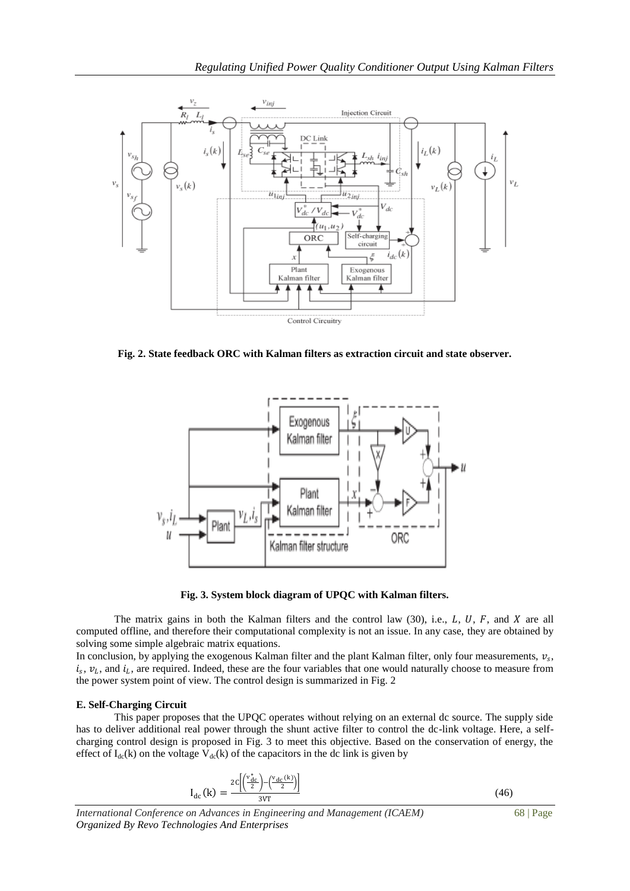

**Fig. 2. State feedback ORC with Kalman filters as extraction circuit and state observer.**



**Fig. 3. System block diagram of UPQC with Kalman filters.**

The matrix gains in both the Kalman filters and the control law  $(30)$ , i.e., L, U, F, and X are all computed offline, and therefore their computational complexity is not an issue. In any case, they are obtained by solving some simple algebraic matrix equations.

In conclusion, by applying the exogenous Kalman filter and the plant Kalman filter, only four measurements,  $v_s$ ,  $i_s$ ,  $v_l$ , and  $i_l$ , are required. Indeed, these are the four variables that one would naturally choose to measure from the power system point of view. The control design is summarized in Fig. 2

### **E. Self-Charging Circuit**

This paper proposes that the UPQC operates without relying on an external dc source. The supply side has to deliver additional real power through the shunt active filter to control the dc-link voltage. Here, a selfcharging control design is proposed in Fig. 3 to meet this objective. Based on the conservation of energy, the effect of  $I_{dc}(k)$  on the voltage  $V_{dc}(k)$  of the capacitors in the dc link is given by

$$
I_{dc}(k) = \frac{2c\left[\left(\frac{v_{dc}^*}{2}\right) - \left(\frac{v_{dc}(k)}{2}\right)\right]}{3VT}
$$
(46)

*International Conference on Advances in Engineering and Management (ICAEM)* 68 | Page *Organized By Revo Technologies And Enterprises*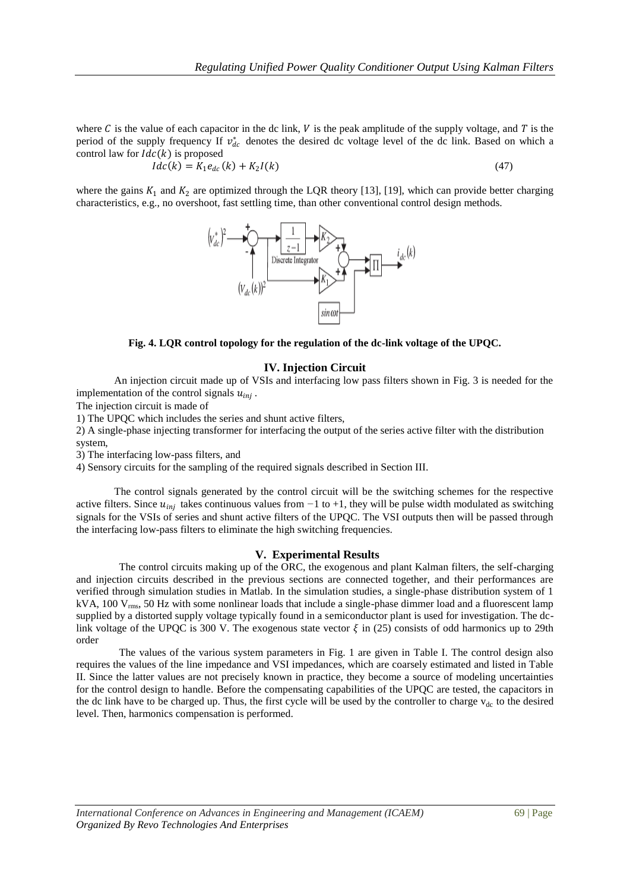where C is the value of each capacitor in the dc link, V is the peak amplitude of the supply voltage, and T is the period of the supply frequency If  $v_{dc}^{*}$  denotes the desired dc voltage level of the dc link. Based on which a control law for  $Idc(k)$  is proposed

$$
Idc(k) = K_1 e_{dc}(k) + K_2 I(k)
$$
\n(47)

where the gains  $K_1$  and  $K_2$  are optimized through the LQR theory [13], [19], which can provide better charging characteristics, e.g., no overshoot, fast settling time, than other conventional control design methods.



**Fig. 4. LQR control topology for the regulation of the dc-link voltage of the UPQC.**

## **IV. Injection Circuit**

An injection circuit made up of VSIs and interfacing low pass filters shown in Fig. 3 is needed for the implementation of the control signals  $u_{inj}$ .

The injection circuit is made of

1) The UPQC which includes the series and shunt active filters,

2) A single-phase injecting transformer for interfacing the output of the series active filter with the distribution system,

3) The interfacing low-pass filters, and

4) Sensory circuits for the sampling of the required signals described in Section III.

The control signals generated by the control circuit will be the switching schemes for the respective active filters. Since  $u_{inj}$  takes continuous values from −1 to +1, they will be pulse width modulated as switching signals for the VSIs of series and shunt active filters of the UPQC. The VSI outputs then will be passed through the interfacing low-pass filters to eliminate the high switching frequencies.

## **V. Experimental Results**

The control circuits making up of the ORC, the exogenous and plant Kalman filters, the self-charging and injection circuits described in the previous sections are connected together, and their performances are verified through simulation studies in Matlab. In the simulation studies, a single-phase distribution system of 1 kVA,  $100$  V<sub>rms</sub>, 50 Hz with some nonlinear loads that include a single-phase dimmer load and a fluorescent lamp supplied by a distorted supply voltage typically found in a semiconductor plant is used for investigation. The dclink voltage of the UPQC is 300 V. The exogenous state vector  $\xi$  in (25) consists of odd harmonics up to 29th order

The values of the various system parameters in Fig. 1 are given in Table I. The control design also requires the values of the line impedance and VSI impedances, which are coarsely estimated and listed in Table II. Since the latter values are not precisely known in practice, they become a source of modeling uncertainties for the control design to handle. Before the compensating capabilities of the UPQC are tested, the capacitors in the dc link have to be charged up. Thus, the first cycle will be used by the controller to charge  $v_{dc}$  to the desired level. Then, harmonics compensation is performed.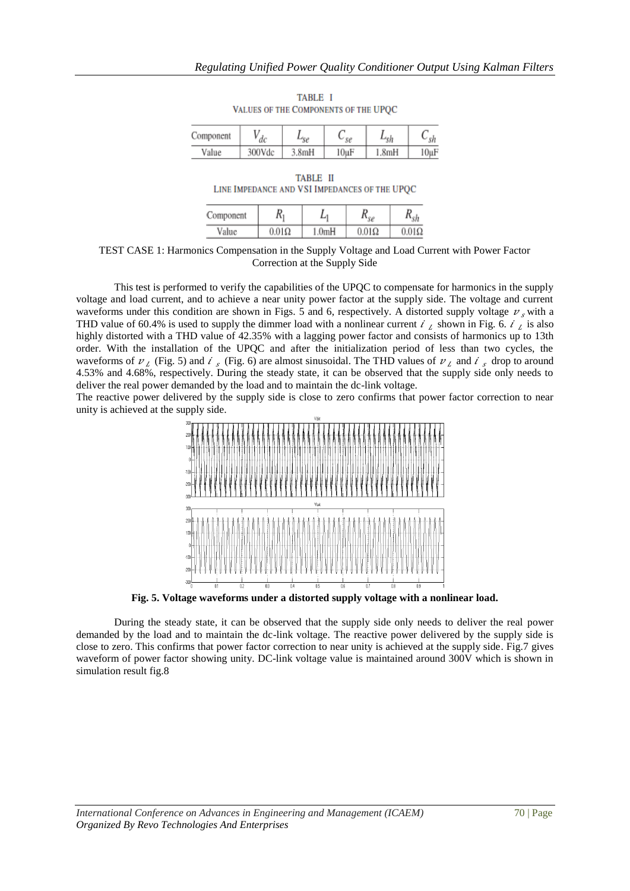| Component | dc     |       | $\mathcal{L}_{S\mathcal{C}}$ | *sh   |            |
|-----------|--------|-------|------------------------------|-------|------------|
| Value     | 300Vdc | 3.8mH | $10\mu F$                    | 1.8mH | $10 \mu F$ |

TABLE I VALUES OF THE COMPONENTS OF THE UPQC

| TABLE II |                                               |  |  |  |  |  |
|----------|-----------------------------------------------|--|--|--|--|--|
|          | LINE IMPEDANCE AND VSI IMPEDANCES OF THE UPQC |  |  |  |  |  |

| Component | A1           |                    | $\epsilon$   |              |
|-----------|--------------|--------------------|--------------|--------------|
| Value     | $0.01\Omega$ | 1.0 <sub>m</sub> H | $0.01\Omega$ | $0.01\Omega$ |

TEST CASE 1: Harmonics Compensation in the Supply Voltage and Load Current with Power Factor Correction at the Supply Side

This test is performed to verify the capabilities of the UPQC to compensate for harmonics in the supply voltage and load current, and to achieve a near unity power factor at the supply side. The voltage and current waveforms under this condition are shown in Figs. 5 and 6, respectively. A distorted supply voltage  $\nu_s$  with a THD value of 60.4% is used to supply the dimmer load with a nonlinear current  $i_j$  shown in Fig. 6.  $i_j$  is also highly distorted with a THD value of 42.35% with a lagging power factor and consists of harmonics up to 13th order. With the installation of the UPQC and after the initialization period of less than two cycles, the waveforms of  $v_L$  (Fig. 5) and  $\ell_s$  (Fig. 6) are almost sinusoidal. The THD values of  $v_L$  and  $\ell_s$  drop to around 4.53% and 4.68%, respectively. During the steady state, it can be observed that the supply side only needs to deliver the real power demanded by the load and to maintain the dc-link voltage.

The reactive power delivered by the supply side is close to zero confirms that power factor correction to near unity is achieved at the supply side.



**Fig. 5. Voltage waveforms under a distorted supply voltage with a nonlinear load.**

During the steady state, it can be observed that the supply side only needs to deliver the real power demanded by the load and to maintain the dc-link voltage. The reactive power delivered by the supply side is close to zero. This confirms that power factor correction to near unity is achieved at the supply side. Fig.7 gives waveform of power factor showing unity. DC-link voltage value is maintained around 300V which is shown in simulation result fig.8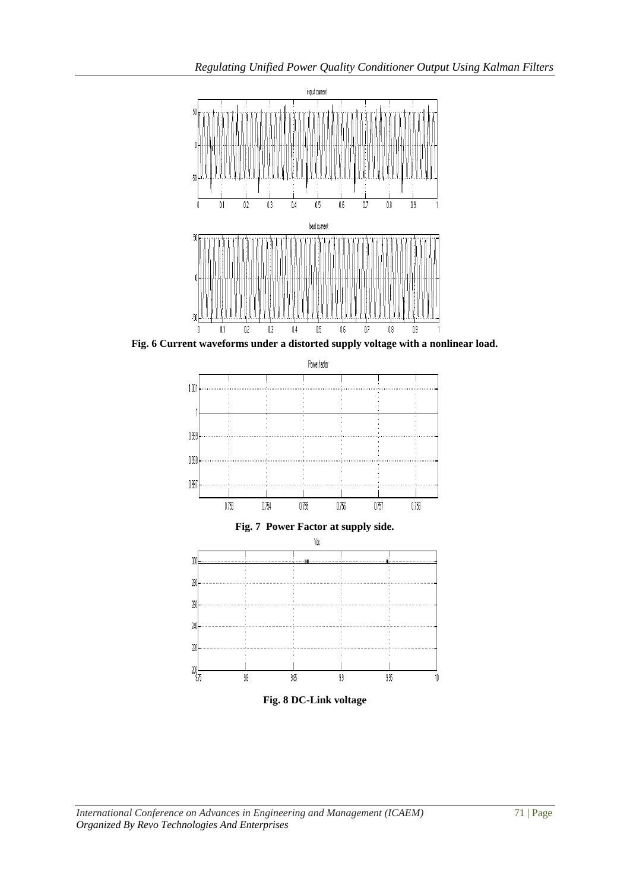

**Fig. 6 Current waveforms under a distorted supply voltage with a nonlinear load.**

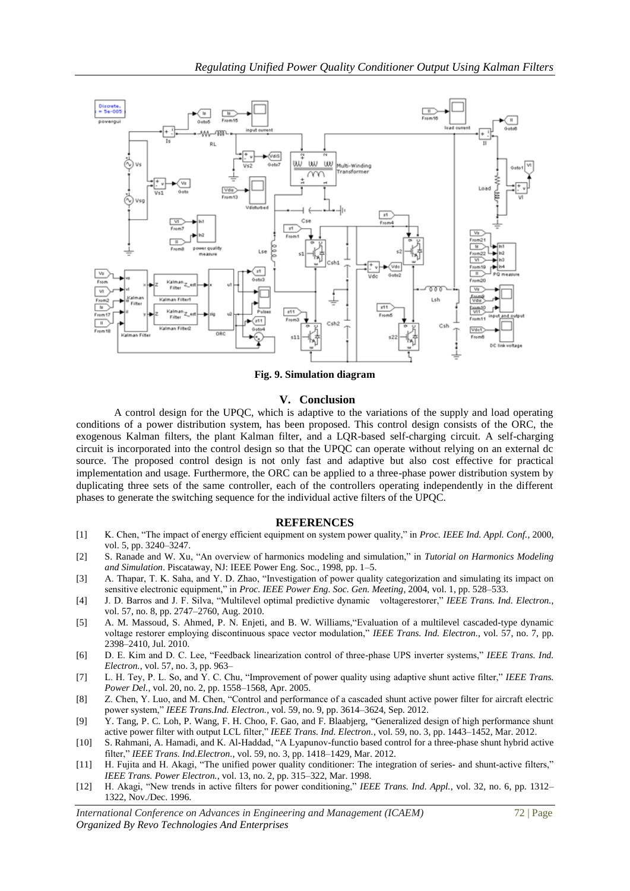

**Fig. 9. Simulation diagram**

## **V. Conclusion**

A control design for the UPQC, which is adaptive to the variations of the supply and load operating conditions of a power distribution system, has been proposed. This control design consists of the ORC, the exogenous Kalman filters, the plant Kalman filter, and a LQR-based self-charging circuit. A self-charging circuit is incorporated into the control design so that the UPQC can operate without relying on an external dc source. The proposed control design is not only fast and adaptive but also cost effective for practical implementation and usage. Furthermore, the ORC can be applied to a three-phase power distribution system by duplicating three sets of the same controller, each of the controllers operating independently in the different phases to generate the switching sequence for the individual active filters of the UPQC.

#### **REFERENCES**

- [1] K. Chen, "The impact of energy efficient equipment on system power quality," in *Proc. IEEE Ind. Appl. Conf.*, 2000, vol. 5, pp. 3240–3247.
- [2] S. Ranade and W. Xu, "An overview of harmonics modeling and simulation," in *Tutorial on Harmonics Modeling and Simulation*. Piscataway, NJ: IEEE Power Eng. Soc., 1998, pp. 1–5.
- [3] A. Thapar, T. K. Saha, and Y. D. Zhao, "Investigation of power quality categorization and simulating its impact on sensitive electronic equipment," in *Proc. IEEE Power Eng. Soc. Gen. Meeting*, 2004, vol. 1, pp. 528–533.
- [4] J. D. Barros and J. F. Silva, "Multilevel optimal predictive dynamic voltagerestorer," *IEEE Trans. Ind. Electron.*, vol. 57, no. 8, pp. 2747–2760, Aug. 2010.
- [5] A. M. Massoud, S. Ahmed, P. N. Enjeti, and B. W. Williams,"Evaluation of a multilevel cascaded-type dynamic voltage restorer employing discontinuous space vector modulation," *IEEE Trans. Ind. Electron.*, vol. 57, no. 7, pp. 2398–2410, Jul. 2010.
- [6] D. E. Kim and D. C. Lee, "Feedback linearization control of three-phase UPS inverter systems," *IEEE Trans. Ind. Electron.*, vol. 57, no. 3, pp. 963–
- [7] L. H. Tey, P. L. So, and Y. C. Chu, "Improvement of power quality using adaptive shunt active filter," *IEEE Trans. Power Del.*, vol. 20, no. 2, pp. 1558–1568, Apr. 2005.
- [8] Z. Chen, Y. Luo, and M. Chen, "Control and performance of a cascaded shunt active power filter for aircraft electric power system," *IEEE Trans.Ind. Electron.*, vol. 59, no. 9, pp. 3614–3624, Sep. 2012.
- [9] Y. Tang, P. C. Loh, P. Wang, F. H. Choo, F. Gao, and F. Blaabjerg, "Generalized design of high performance shunt active power filter with output LCL filter," *IEEE Trans. Ind. Electron.*, vol. 59, no. 3, pp. 1443–1452, Mar. 2012.
- [10] S. Rahmani, A. Hamadi, and K. Al-Haddad, "A Lyapunov-functio based control for a three-phase shunt hybrid active filter," *IEEE Trans. Ind.Electron.*, vol. 59, no. 3, pp. 1418–1429, Mar. 2012.
- [11] H. Fujita and H. Akagi, "The unified power quality conditioner: The integration of series- and shunt-active filters," *IEEE Trans. Power Electron.*, vol. 13, no. 2, pp. 315–322, Mar. 1998.
- [12] H. Akagi, "New trends in active filters for power conditioning," *IEEE Trans. Ind. Appl.*, vol. 32, no. 6, pp. 1312– 1322, Nov./Dec. 1996.